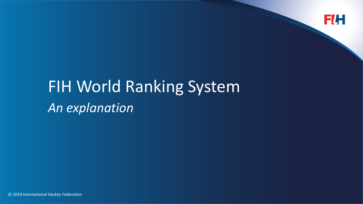

# FIH World Ranking System *An explanation*

*© 2019 International Hockey Federation*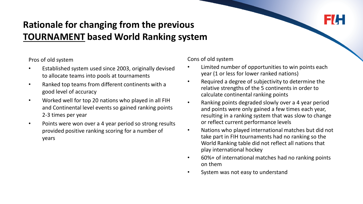## **Rationale for changing from the previous TOURNAMENT based World Ranking system**

Pros of old system

- Established system used since 2003, originally devised to allocate teams into pools at tournaments
- Ranked top teams from different continents with a good level of accuracy
- Worked well for top 20 nations who played in all FIH and Continental level events so gained ranking points 2-3 times per year
- Points were won over a 4 year period so strong results provided positive ranking scoring for a number of years

Cons of old system

- Limited number of opportunities to win points each year (1 or less for lower ranked nations)
- Required a degree of subjectivity to determine the relative strengths of the 5 continents in order to calculate continental ranking points
- Ranking points degraded slowly over a 4 year period and points were only gained a few times each year, resulting in a ranking system that was slow to change or reflect current performance levels
- Nations who played international matches but did not take part in FIH tournaments had no ranking so the World Ranking table did not reflect all nations that play international hockey
- 60%+ of international matches had no ranking points on them
- System was not easy to understand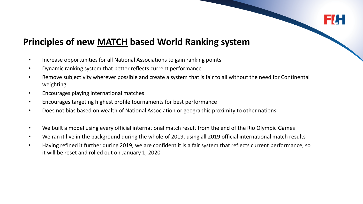

## **Principles of new MATCH based World Ranking system**

- Increase opportunities for all National Associations to gain ranking points
- Dynamic ranking system that better reflects current performance
- Remove subjectivity wherever possible and create a system that is fair to all without the need for Continental weighting
- Encourages playing international matches
- Encourages targeting highest profile tournaments for best performance
- Does not bias based on wealth of National Association or geographic proximity to other nations
- We built a model using every official international match result from the end of the Rio Olympic Games
- We ran it live in the background during the whole of 2019, using all 2019 official international match results
- Having refined it further during 2019, we are confident it is a fair system that reflects current performance, so it will be reset and rolled out on January 1, 2020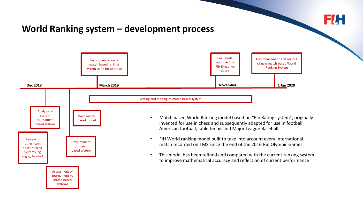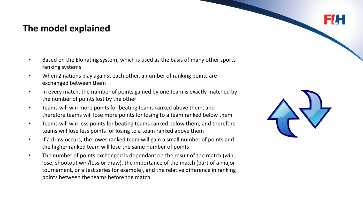## **The model explained**

- Based on the Elo rating system, which is used as the basis of many other sports ranking systems
- When 2 nations play against each other, a number of ranking points are exchanged between them
- In every match, the number of points gained by one team is exactly matched by the number of points lost by the other
- Teams will win more points for beating teams ranked above them, and therefore teams will lose more points for losing to a team ranked below them
- Teams will win less points for beating teams ranked below them, and therefore teams will lose less points for losing to a team ranked above them
- If a draw occurs, the lower ranked team will gain a small number of points and the higher ranked team will lose the same number of points
- The number of points exchanged is dependant on the result of the match (win, lose, shootout win/loss or draw), the importance of the match (part of a major tournament, or a test series for example), and the relative difference in ranking points between the teams before the match

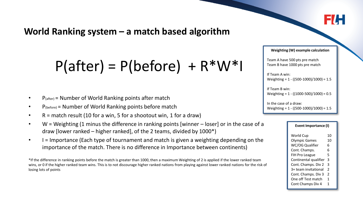6/L

## **World Ranking system – a match based algorithm**

## $P(after) = P(before) + R*W*I$

- $P_{\text{(after)}}$  = Number of World Ranking points after match
- P(before) = Number of World Ranking points before match
- $R =$  match result (10 for a win, 5 for a shootout win, 1 for a draw)
- W = Weighting (1 minus the difference in ranking points [winner loser] or in the case of a draw [lower ranked – higher ranked], of the 2 teams, divided by 1000\*)
- I = Importance (Each type of tournament and match is given a weighting depending on the importance of the match. There is no difference in Importance between continents)

\*If the difference in ranking points before the match is greater than 1000, then a maximum Weighting of 2 is applied if the lower ranked team wins, or 0 if the higher ranked team wins. This is to not discourage higher ranked nations from playing against lower ranked nations for the risk of losing lots of points

#### **Weighting (W) example calculation**

Team A have 500 pts pre match Team B have 1000 pts pre match

If Team A win: Weighting = 1 - ((500-1000)/1000) = 1.5

If Team B win: Weighting = 1 - ((1000-500)/1000) = 0.5

In the case of a draw: Weighting = 1 - ((500-1000)/1000) = 1.5

#### **Event Importance (I)**

| World Cup             | 10             |
|-----------------------|----------------|
| <b>Olympic Games</b>  | 10             |
| WC/OG Qualifier       | 6              |
| Cont. Champs.         | 6              |
| <b>FIH Pro League</b> | 5              |
| Continental qualifier | 3              |
| Cont. Champs. Div 2   | 3              |
| 3+ team invitational  | $\mathfrak z$  |
| Cont. Champs. Div 3   | $\overline{2}$ |
| One off Test match    | 1              |
| Cont Champs Div 4     | 1              |
|                       |                |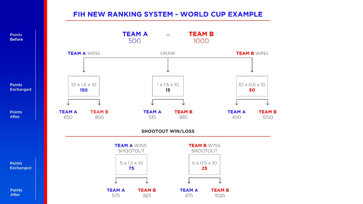### FIH NEW RANKING SYSTEM - WORLD CUP EXAMPLE



**Before** 

After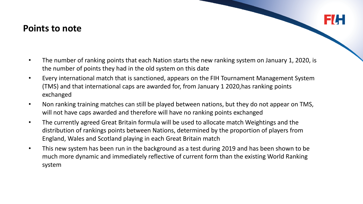### **Points to note**

- The number of ranking points that each Nation starts the new ranking system on January 1, 2020, is the number of points they had in the old system on this date
- Every international match that is sanctioned, appears on the FIH Tournament Management System (TMS) and that international caps are awarded for, from January 1 2020,has ranking points exchanged
- Non ranking training matches can still be played between nations, but they do not appear on TMS, will not have caps awarded and therefore will have no ranking points exchanged
- The currently agreed Great Britain formula will be used to allocate match Weightings and the distribution of rankings points between Nations, determined by the proportion of players from England, Wales and Scotland playing in each Great Britain match
- This new system has been run in the background as a test during 2019 and has been shown to be much more dynamic and immediately reflective of current form than the existing World Ranking system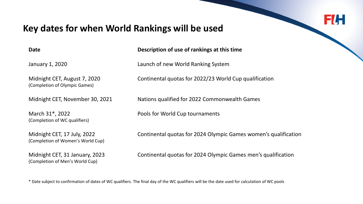## F/H

## **Key dates for when World Rankings will be used**

| ۰.<br>. .<br>۰.<br>×<br>۰.<br>×<br>× |
|--------------------------------------|
|--------------------------------------|

**Description of use of rankings at this time** 

January 1, 2020 Launch of new World Ranking System

Midnight CET, August 7, 2020 Continental quotas for 2022/23 World Cup qualification (Completion of Olympic Games)

Midnight CET, November 30, 2021 Nations qualified for 2022 Commonwealth Games

(Completion of WC qualifiers)

(Completion of Women's World Cup)

(Completion of Men's World Cup)

March 31\*, 2022 Pools for World Cup tournaments

Midnight CET, 17 July, 2022 Continental quotas for 2024 Olympic Games women's qualification

Midnight CET, 31 January, 2023 Continental quotas for 2024 Olympic Games men's qualification

\* Date subject to confirmation of dates of WC qualifiers. The final day of the WC qualifiers will be the date used for calculation of WC pools